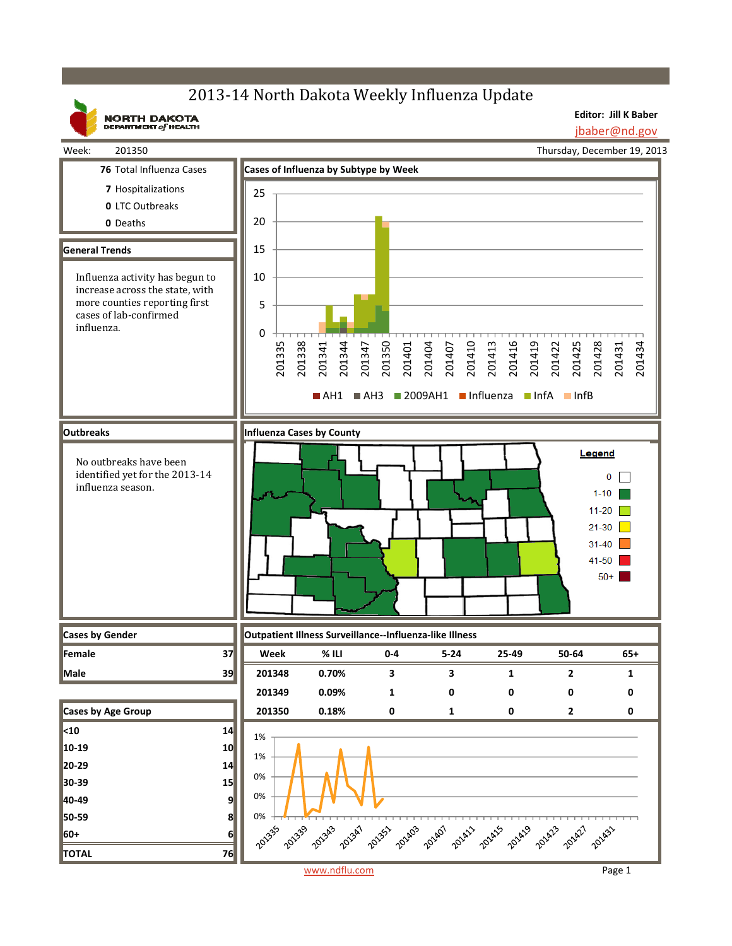## 2013-14 North Dakota Weekly Influenza Update

**Editor: Jill K Baber** jbaber@nd.gov